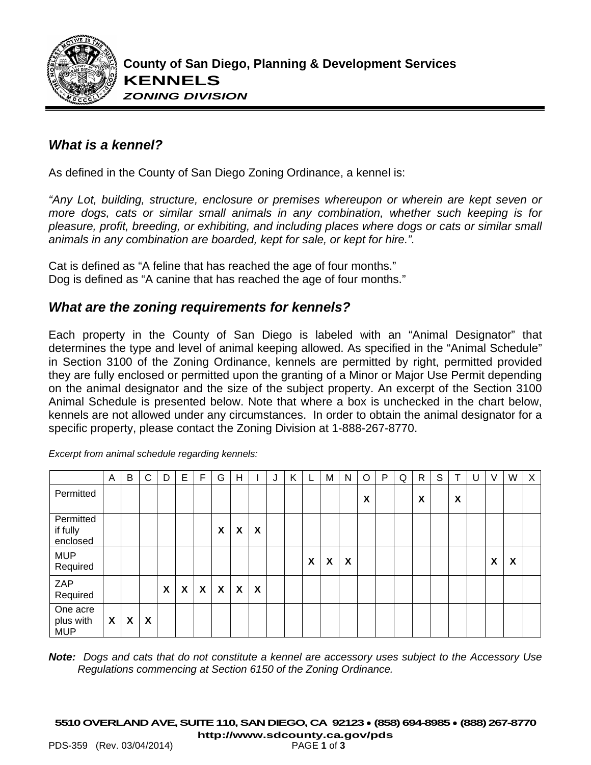

## *What is a kennel?*

As defined in the County of San Diego Zoning Ordinance, a kennel is:

*"Any Lot, building, structure, enclosure or premises whereupon or wherein are kept seven or more dogs, cats or similar small animals in any combination, whether such keeping is for pleasure, profit, breeding, or exhibiting, and including places where dogs or cats or similar small animals in any combination are boarded, kept for sale, or kept for hire.".*

Cat is defined as "A feline that has reached the age of four months." Dog is defined as "A canine that has reached the age of four months."

## *What are the zoning requirements for kennels?*

Each property in the County of San Diego is labeled with an "Animal Designator" that determines the type and level of animal keeping allowed. As specified in the "Animal Schedule" in Section 3100 of the Zoning Ordinance, kennels are permitted by right, permitted provided they are fully enclosed or permitted upon the granting of a Minor or Major Use Permit depending on the animal designator and the size of the subject property. An excerpt of the Section 3100 Animal Schedule is presented below. Note that where a box is unchecked in the chart below, kennels are not allowed under any circumstances. In order to obtain the animal designator for a specific property, please contact the Zoning Division at 1-888-267-8770.

|                                     | A                         | B                         | C | D | E | F | G            | H                         |                           | J | K | L. | M | N | O | P | Q | $\mathsf{R}$ | S | Τ | U | V | W | $\mathsf{X}$ |
|-------------------------------------|---------------------------|---------------------------|---|---|---|---|--------------|---------------------------|---------------------------|---|---|----|---|---|---|---|---|--------------|---|---|---|---|---|--------------|
| Permitted                           |                           |                           |   |   |   |   |              |                           |                           |   |   |    |   |   | X |   |   | X            |   | X |   |   |   |              |
| Permitted<br>if fully<br>enclosed   |                           |                           |   |   |   |   | X            | X                         | $\boldsymbol{\mathsf{x}}$ |   |   |    |   |   |   |   |   |              |   |   |   |   |   |              |
| <b>MUP</b><br>Required              |                           |                           |   |   |   |   |              |                           |                           |   |   | X  | X | X |   |   |   |              |   |   |   | X | X |              |
| ZAP<br>Required                     |                           |                           |   | X | X | X | $\mathsf{x}$ | $\boldsymbol{\mathsf{X}}$ | $\boldsymbol{\mathsf{X}}$ |   |   |    |   |   |   |   |   |              |   |   |   |   |   |              |
| One acre<br>plus with<br><b>MUP</b> | $\boldsymbol{\mathsf{X}}$ | $\boldsymbol{\mathsf{x}}$ | X |   |   |   |              |                           |                           |   |   |    |   |   |   |   |   |              |   |   |   |   |   |              |

*Excerpt from animal schedule regarding kennels:*

*Note: Dogs and cats that do not constitute a kennel are accessory uses subject to the Accessory Use Regulations commencing at Section 6150 of the Zoning Ordinance.*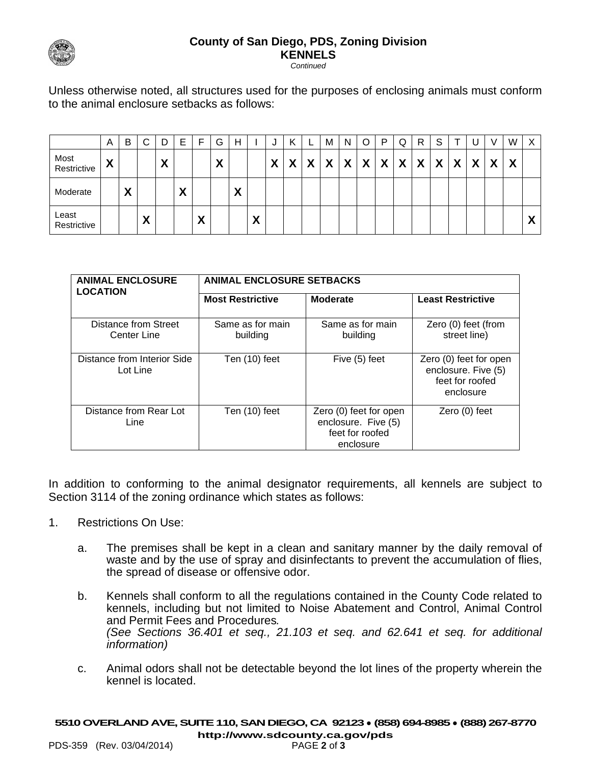

## **County of San Diego, PDS, Zoning Division KENNELS**

*Continued*

Unless otherwise noted, all structures used for the purposes of enclosing animals must conform to the animal enclosure setbacks as follows:

|                      | A                                         | В              | $\sim$ | D      | Е      | -                 | G      | H      |        | J |   | ┕ | M | N | O                         | P                         | Q                | R | S |   |   | v | W                | X                         |
|----------------------|-------------------------------------------|----------------|--------|--------|--------|-------------------|--------|--------|--------|---|---|---|---|---|---------------------------|---------------------------|------------------|---|---|---|---|---|------------------|---------------------------|
| Most<br>Restrictive  | $\checkmark$<br>$\boldsymbol{\mathsf{A}}$ |                |        | v<br>Λ |        |                   | v<br>Λ |        |        | X | v | X | X | X | $\boldsymbol{\mathsf{X}}$ | $\boldsymbol{\mathsf{X}}$ | $\boldsymbol{X}$ | X | X | X | X | Y | $\boldsymbol{X}$ |                           |
| Moderate             |                                           | v<br>$\lambda$ |        |        | v<br>Λ |                   |        | v<br>Λ |        |   |   |   |   |   |                           |                           |                  |   |   |   |   |   |                  |                           |
| Least<br>Restrictive |                                           |                | v<br>Δ |        |        | $\mathbf{v}$<br>Λ |        |        | v<br>Λ |   |   |   |   |   |                           |                           |                  |   |   |   |   |   |                  | $\mathbf{v}$<br>$\lambda$ |

| <b>ANIMAL ENCLOSURE</b><br><b>LOCATION</b> | <b>ANIMAL ENCLOSURE SETBACKS</b> |                                                                               |                                                                               |  |  |  |  |  |  |  |  |
|--------------------------------------------|----------------------------------|-------------------------------------------------------------------------------|-------------------------------------------------------------------------------|--|--|--|--|--|--|--|--|
|                                            | <b>Most Restrictive</b>          | <b>Moderate</b>                                                               | <b>Least Restrictive</b>                                                      |  |  |  |  |  |  |  |  |
| Distance from Street<br>Center Line        | Same as for main<br>building     | Same as for main<br>building                                                  | Zero (0) feet (from<br>street line)                                           |  |  |  |  |  |  |  |  |
| Distance from Interior Side<br>Lot Line    | Ten (10) feet                    | Five (5) feet                                                                 | Zero (0) feet for open<br>enclosure. Five (5)<br>feet for roofed<br>enclosure |  |  |  |  |  |  |  |  |
| Distance from Rear Lot<br>Line             | Ten (10) feet                    | Zero (0) feet for open<br>enclosure. Five (5)<br>feet for roofed<br>enclosure | Zero (0) feet                                                                 |  |  |  |  |  |  |  |  |

In addition to conforming to the animal designator requirements, all kennels are subject to Section 3114 of the zoning ordinance which states as follows:

- 1. Restrictions On Use:
	- a. The premises shall be kept in a clean and sanitary manner by the daily removal of waste and by the use of spray and disinfectants to prevent the accumulation of flies, the spread of disease or offensive odor.
	- b. Kennels shall conform to all the regulations contained in the County Code related to kennels, including but not limited to Noise Abatement and Control, Animal Control and Permit Fees and Procedures*. (See Sections 36.401 et seq., 21.103 et seq. and 62.641 et seq. for additional information)*
	- c. Animal odors shall not be detectable beyond the lot lines of the property wherein the kennel is located.